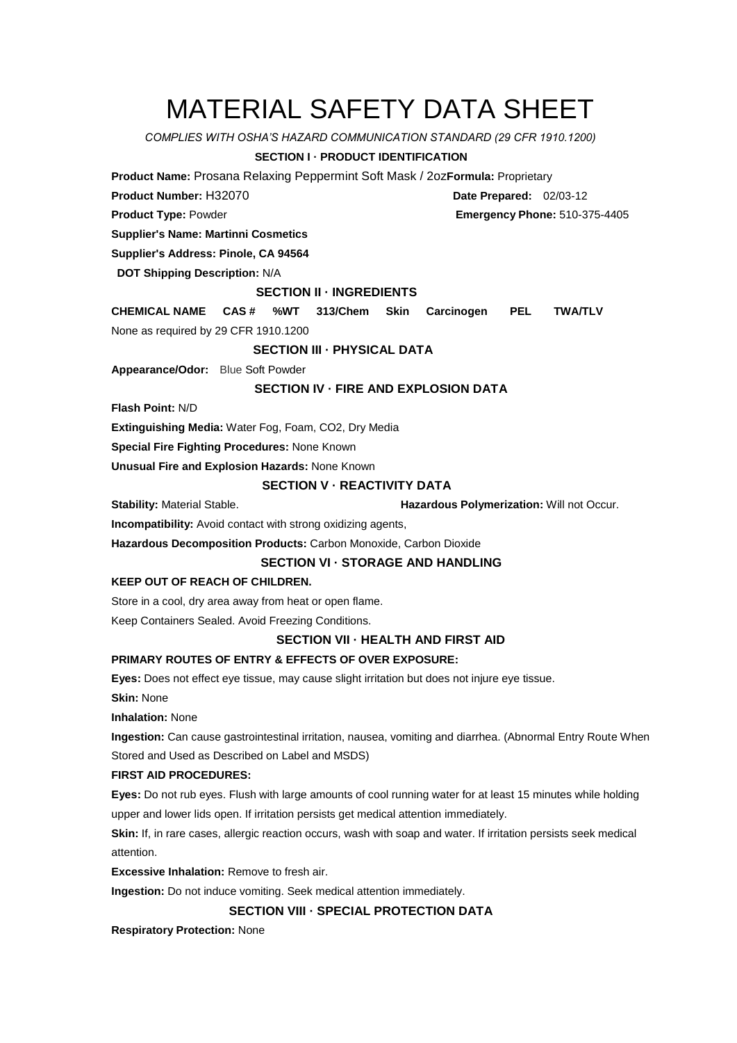# MATERIAL SAFETY DATA SHEET

*COMPLIES WITH OSHA'S HAZARD COMMUNICATION STANDARD (29 CFR 1910.1200)*

# **SECTION I · PRODUCT IDENTIFICATION**

**Product Name:** Prosana Relaxing Peppermint Soft Mask / 2oz**Formula:** Proprietary

**Product Number:** H32070 **Date Prepared:** 02/03-12

**Supplier's Name: Martinni Cosmetics** 

**Supplier's Address: Pinole, CA 94564** 

**DOT Shipping Description:** N/A

## **SECTION II · INGREDIENTS**

**CHEMICAL NAME CAS # %WT 313/Chem Skin Carcinogen PEL TWA/TLV** None as required by 29 CFR 1910.1200

## **SECTION III · PHYSICAL DATA**

**Appearance/Odor:** Blue Soft Powder

## **SECTION IV · FIRE AND EXPLOSION DATA**

**Flash Point:** N/D

**Extinguishing Media:** Water Fog, Foam, CO2, Dry Media

**Special Fire Fighting Procedures:** None Known

**Unusual Fire and Explosion Hazards:** None Known

# **SECTION V · REACTIVITY DATA**

**Stability:** Material Stable. **Hazardous Polymerization:** Will not Occur.

**Incompatibility:** Avoid contact with strong oxidizing agents,

**Hazardous Decomposition Products:** Carbon Monoxide, Carbon Dioxide

# **SECTION VI · STORAGE AND HANDLING**

#### **KEEP OUT OF REACH OF CHILDREN.**

Store in a cool, dry area away from heat or open flame.

Keep Containers Sealed. Avoid Freezing Conditions.

#### **SECTION VII · HEALTH AND FIRST AID**

# **PRIMARY ROUTES OF ENTRY & EFFECTS OF OVER EXPOSURE:**

**Eyes:** Does not effect eye tissue, may cause slight irritation but does not injure eye tissue.

**Skin:** None

**Inhalation:** None

**Ingestion:** Can cause gastrointestinal irritation, nausea, vomiting and diarrhea. (Abnormal Entry Route When Stored and Used as Described on Label and MSDS)

#### **FIRST AID PROCEDURES:**

**Eyes:** Do not rub eyes. Flush with large amounts of cool running water for at least 15 minutes while holding upper and lower lids open. If irritation persists get medical attention immediately.

**Skin:** If, in rare cases, allergic reaction occurs, wash with soap and water. If irritation persists seek medical attention.

**Excessive Inhalation:** Remove to fresh air.

**Ingestion:** Do not induce vomiting. Seek medical attention immediately.

# **SECTION VII I SECTION VIII · SPECIAL PROTECTION DATA**

**Respiratory Protection:** None

**Product Type:** Powder **Emergency Phone:** 510-375-4405